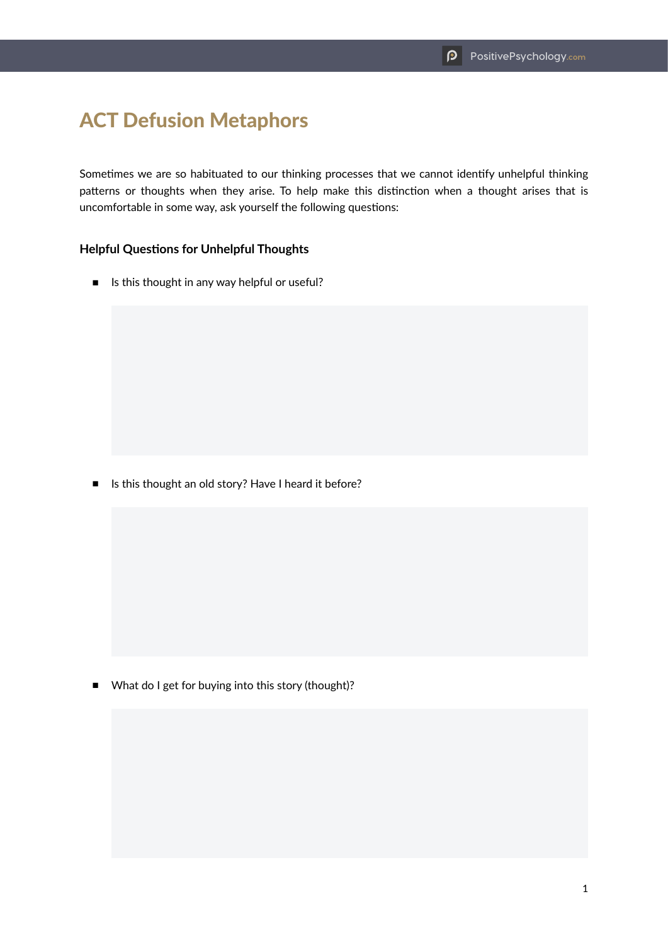## ACT Defusion Metaphors

Sometimes we are so habituated to our thinking processes that we cannot identify unhelpful thinking patterns or thoughts when they arise. To help make this distinction when a thought arises that is uncomfortable in some way, ask yourself the following questions:

## **Helpful Questions for Unhelpful Thoughts**

■ Is this thought in any way helpful or useful?

■ Is this thought an old story? Have I heard it before?

■ What do I get for buying into this story (thought)?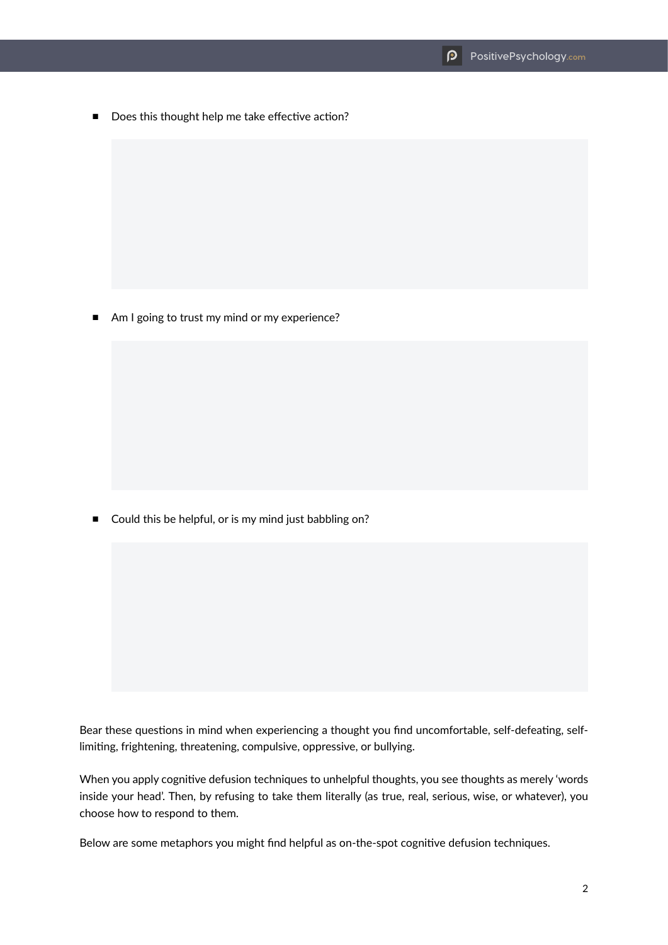■ Does this thought help me take effective action?

■ Am I going to trust my mind or my experience?

■ Could this be helpful, or is my mind just babbling on?

Bear these questions in mind when experiencing a thought you find uncomfortable, self-defeating, selflimiting, frightening, threatening, compulsive, oppressive, or bullying.

When you apply cognitive defusion techniques to unhelpful thoughts, you see thoughts as merely 'words inside your head'. Then, by refusing to take them literally (as true, real, serious, wise, or whatever), you choose how to respond to them.

Below are some metaphors you might find helpful as on-the-spot cognitive defusion techniques.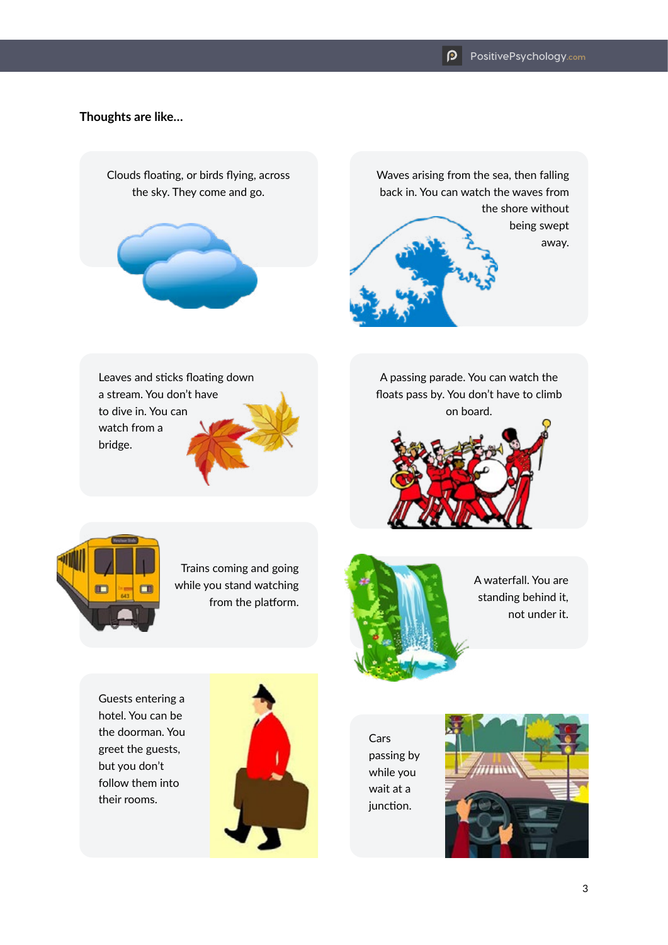## **Thoughts are like…**



Guests entering a hotel. You can be the doorman. You greet the guests, but you don't follow them into their rooms.



Cars passing by while you wait at a junction.